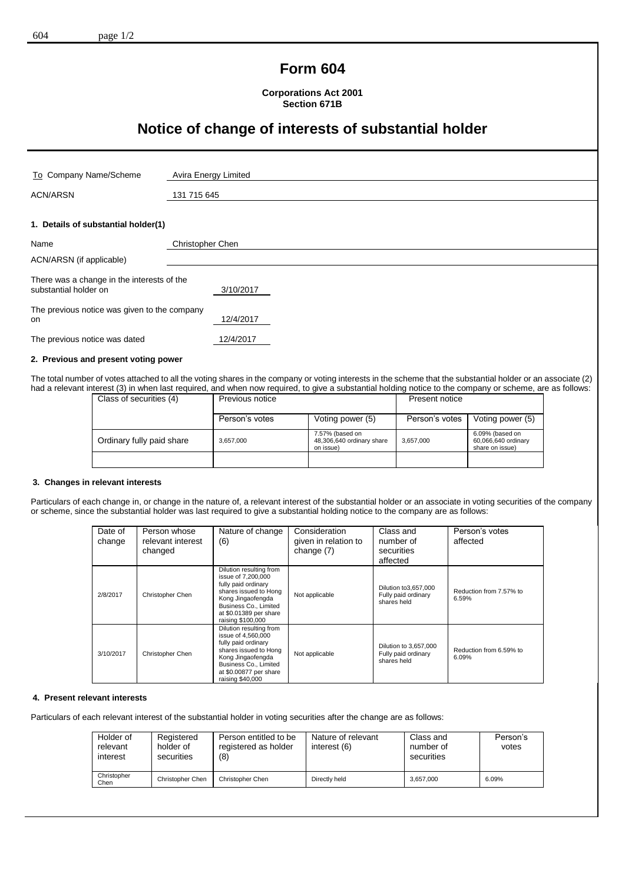## **Form 604**

**Corporations Act 2001 Section 671B**

# **Notice of change of interests of substantial holder**

| To Company Name/Scheme                                              | Avira Energy Limited |
|---------------------------------------------------------------------|----------------------|
| <b>ACN/ARSN</b>                                                     | 131 715 645          |
|                                                                     |                      |
| 1. Details of substantial holder(1)                                 |                      |
| Name                                                                | Christopher Chen     |
| ACN/ARSN (if applicable)                                            |                      |
| There was a change in the interests of the<br>substantial holder on | 3/10/2017            |
| The previous notice was given to the company<br><b>on</b>           | 12/4/2017            |
| The previous notice was dated                                       | 12/4/2017            |
|                                                                     |                      |

## **2. Previous and present voting power**

The total number of votes attached to all the voting shares in the company or voting interests in the scheme that the substantial holder or an associate (2) had a relevant interest (3) in when last required, and when now required, to give a substantial holding notice to the company or scheme, are as follows:

| Class of securities (4)   | Previous notice |                                                           | Present notice |                                                           |
|---------------------------|-----------------|-----------------------------------------------------------|----------------|-----------------------------------------------------------|
|                           | Person's votes  | Voting power (5)                                          | Person's votes | Voting power (5)                                          |
| Ordinary fully paid share | 3,657,000       | 7.57% (based on<br>48,306,640 ordinary share<br>on issue) | 3,657,000      | 6.09% (based on<br>60,066,640 ordinary<br>share on issue) |
|                           |                 |                                                           |                |                                                           |

#### **3. Changes in relevant interests**

Particulars of each change in, or change in the nature of, a relevant interest of the substantial holder or an associate in voting securities of the company or scheme, since the substantial holder was last required to give a substantial holding notice to the company are as follows:

| Date of<br>change | Person whose<br>relevant interest<br>changed | Nature of change<br>(6)                                                                                                                                                                    | Consideration<br>given in relation to<br>change (7) | Class and<br>number of<br>securities<br>affected            | Person's votes<br>affected       |
|-------------------|----------------------------------------------|--------------------------------------------------------------------------------------------------------------------------------------------------------------------------------------------|-----------------------------------------------------|-------------------------------------------------------------|----------------------------------|
| 2/8/2017          | Christopher Chen                             | Dilution resulting from<br>issue of 7,200,000<br>fully paid ordinary<br>shares issued to Hong<br>Kong Jingaofengda<br>Business Co., Limited<br>at \$0.01389 per share<br>raising \$100,000 | Not applicable                                      | Dilution to 3,657,000<br>Fully paid ordinary<br>shares held | Reduction from 7.57% to<br>6.59% |
| 3/10/2017         | Christopher Chen                             | Dilution resulting from<br>issue of 4.560,000<br>fully paid ordinary<br>shares issued to Hong<br>Kong Jingaofengda<br>Business Co., Limited<br>at \$0.00877 per share<br>raising \$40,000  | Not applicable                                      | Dilution to 3,657,000<br>Fully paid ordinary<br>shares held | Reduction from 6.59% to<br>6.09% |

#### **4. Present relevant interests**

Particulars of each relevant interest of the substantial holder in voting securities after the change are as follows:

| Holder of<br>relevant<br>interest | Registered<br>holder of<br>securities | Person entitled to be<br>registered as holder<br>(8) | Nature of relevant<br>interest (6) | Class and<br>number of<br>securities | Person's<br>votes |
|-----------------------------------|---------------------------------------|------------------------------------------------------|------------------------------------|--------------------------------------|-------------------|
| Christopher<br>Chen               | Christopher Chen                      | Christopher Chen                                     | Directly held                      | 3.657.000                            | 6.09%             |